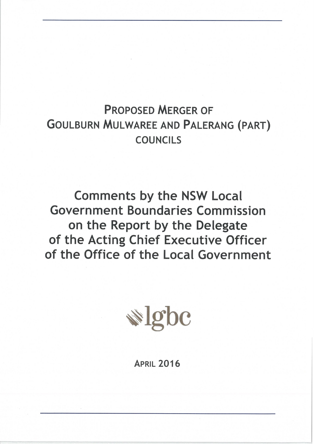# **PROPOSED MERGER OF GOULBURN MULWAREE AND PALERANG (PART) COUNCILS**

**Comments by the NSW Local Government Boundaries Commission** on the Report by the Delegate of the Acting Chief Executive Officer of the Office of the Local Government



**APRIL 2016**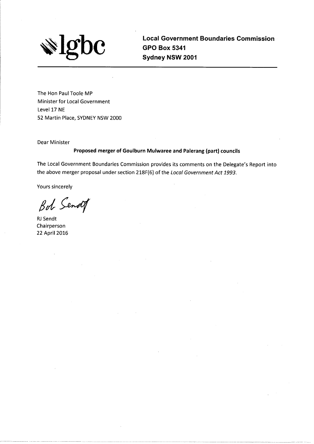

**Local Government Boundaries Commission GPO Box 5341** Sydney NSW 2001

The Hon Paul Toole MP Minister for Local Government Level 17 NE 52 Martin Place, SYDNEY NSW 2000

**Dear Minister** 

#### Proposed merger of Goulburn Mulwaree and Palerang (part) councils

The Local Government Boundaries Commission provides its comments on the Delegate's Report into the above merger proposal under section 218F(6) of the Local Government Act 1993.

Yours sincerely

Bot Sendof

RJ Sendt Chairperson 22 April 2016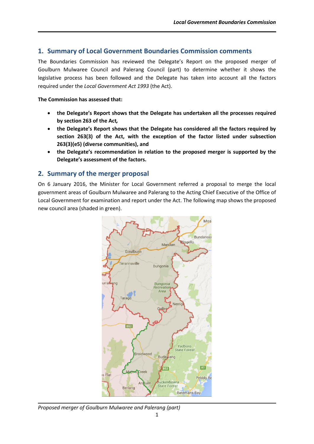## **1. Summary of Local Government Boundaries Commission comments**

The Boundaries Commission has reviewed the Delegate's Report on the proposed merger of Goulburn Mulwaree Council and Palerang Council (part) to determine whether it shows the legislative process has been followed and the Delegate has taken into account all the factors required under the *Local Government Act 1993* (the Act).

#### **The Commission has assessed that:**

- **the Delegate's Report shows that the Delegate has undertaken all the processes required by section 263 of the Act***,*
- **the Delegate's Report shows that the Delegate has considered all the factors required by section 263(3) of the Act, with the exception of the factor listed under subsection 263(3)(e5) (diverse communities), and**
- **the Delegate's recommendation in relation to the proposed merger is supported by the Delegate's assessment of the factors.**

## **2. Summary of the merger proposal**

On 6 January 2016, the Minister for Local Government referred a proposal to merge the local government areas of Goulburn Mulwaree and Palerang to the Acting Chief Executive of the Office of Local Government for examination and report under the Act. The following map shows the proposed new council area (shaded in green).



*Proposed merger of Goulburn Mulwaree and Palerang (part)*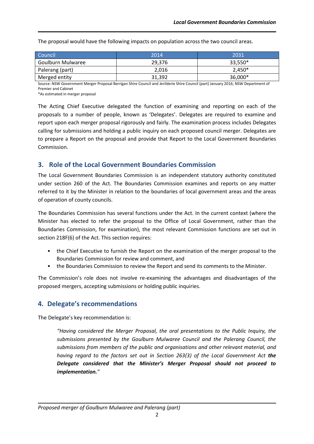| Council           | 2014   | 2031     |
|-------------------|--------|----------|
| Goulburn Mulwaree | 29.376 | 33,550*  |
| Palerang (part)   | 2.016  | $2,450*$ |
| Merged entity     | 31,392 | 36,000*  |

The proposal would have the following impacts on population across the two council areas.

Source: NSW Government Merger Proposal Berrigan Shire Council and Jerilderie Shire Council (part) January 2016; NSW Department of Premier and Cabinet

\*As estimated in merger proposal

The Acting Chief Executive delegated the function of examining and reporting on each of the proposals to a number of people, known as 'Delegates'. Delegates are required to examine and report upon each merger proposal rigorously and fairly. The examination process includes Delegates calling for submissions and holding a public inquiry on each proposed council merger. Delegates are to prepare a Report on the proposal and provide that Report to the Local Government Boundaries Commission.

## **3. Role of the Local Government Boundaries Commission**

The Local Government Boundaries Commission is an independent statutory authority constituted under section 260 of the Act. The Boundaries Commission examines and reports on any matter referred to it by the Minister in relation to the boundaries of local government areas and the areas of operation of county councils.

The Boundaries Commission has several functions under the Act. In the current context (where the Minister has elected to refer the proposal to the Office of Local Government, rather than the Boundaries Commission, for examination), the most relevant Commission functions are set out in section 218F(6) of the Act. This section requires:

- the Chief Executive to furnish the Report on the examination of the merger proposal to the Boundaries Commission for review and comment, and
- the Boundaries Commission to review the Report and send its comments to the Minister.

The Commission's role does not involve re-examining the advantages and disadvantages of the proposed mergers, accepting submissions or holding public inquiries.

# **4. Delegate's recommendations**

The Delegate's key recommendation is:

*"Having considered the Merger Proposal, the oral presentations to the Public Inquiry, the submissions presented by the Goulburn Mulwaree Council and the Palerang Council, the submissions from members of the public and organisations and other relevant material, and having regard to the factors set out in Section 263(3) of the Local Government Act the Delegate considered that the Minister's Merger Proposal should not proceed to implementation."*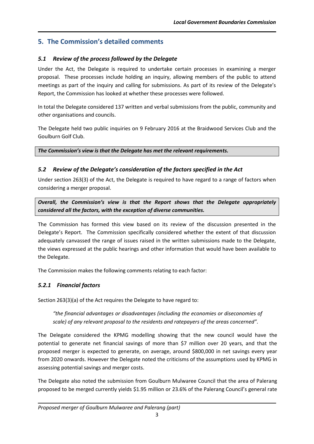# **5. The Commission's detailed comments**

## *5.1 Review of the process followed by the Delegate*

Under the Act, the Delegate is required to undertake certain processes in examining a merger proposal. These processes include holding an inquiry, allowing members of the public to attend meetings as part of the inquiry and calling for submissions. As part of its review of the Delegate's Report, the Commission has looked at whether these processes were followed.

In total the Delegate considered 137 written and verbal submissions from the public, community and other organisations and councils.

The Delegate held two public inquiries on 9 February 2016 at the Braidwood Services Club and the Goulburn Golf Club.

*The Commission's view is that the Delegate has met the relevant requirements.*

## *5.2 Review of the Delegate's consideration of the factors specified in the Act*

Under section 263(3) of the Act, the Delegate is required to have regard to a range of factors when considering a merger proposal.

*Overall, the Commission's view is that the Report shows that the Delegate appropriately considered all the factors, with the exception of diverse communities.*

The Commission has formed this view based on its review of the discussion presented in the Delegate's Report. The Commission specifically considered whether the extent of that discussion adequately canvassed the range of issues raised in the written submissions made to the Delegate, the views expressed at the public hearings and other information that would have been available to the Delegate.

The Commission makes the following comments relating to each factor:

# *5.2.1 Financial factors*

Section 263(3)(a) of the Act requires the Delegate to have regard to:

*"the financial advantages or disadvantages (including the economies or diseconomies of scale) of any relevant proposal to the residents and ratepayers of the areas concerned".*

The Delegate considered the KPMG modelling showing that the new council would have the potential to generate net financial savings of more than \$7 million over 20 years, and that the proposed merger is expected to generate, on average, around \$800,000 in net savings every year from 2020 onwards. However the Delegate noted the criticisms of the assumptions used by KPMG in assessing potential savings and merger costs.

The Delegate also noted the submission from Goulburn Mulwaree Council that the area of Palerang proposed to be merged currently yields \$1.95 million or 23.6% of the Palerang Council's general rate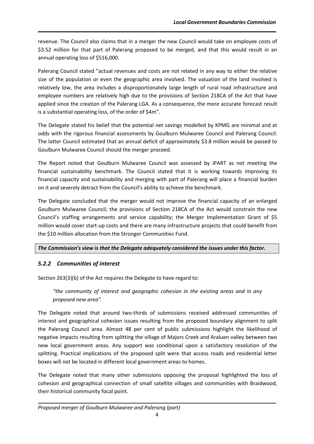revenue. The Council also claims that in a merger the new Council would take on employee costs of \$3.52 million for that part of Palerang proposed to be merged, and that this would result in an annual operating loss of \$516,000.

Palerang Council stated "actual revenues and costs are not related in any way to either the relative size of the population or even the geographic area involved. The valuation of the land involved is relatively low, the area includes a disproportionately large length of rural road infrastructure and employee numbers are relatively high due to the provisions of Section 218CA of the Act that have applied since the creation of the Palerang LGA. As a consequence, the more accurate forecast result is a substantial operating loss, of the order of \$4m".

The Delegate stated his belief that the potential net savings modelled by KPMG are minimal and at odds with the rigorous financial assessments by Goulburn Mulwaree Council and Palerang Council. The latter Council estimated that an annual deficit of approximately \$3.8 million would be passed to Goulburn Mulwaree Council should the merger proceed.

The Report noted that Goulburn Mulwaree Council was assessed by IPART as not meeting the financial sustainability benchmark. The Council stated that it is working towards improving its financial capacity and sustainability and merging with part of Palerang will place a financial burden on it and severely detract from the Council's ability to achieve the benchmark.

The Delegate concluded that the merger would not improve the financial capacity of an enlarged Goulburn Mulwaree Council; the provisions of Section 218CA of the Act would constrain the new Council's staffing arrangements and service capability; the Merger Implementation Grant of \$5 million would cover start-up costs and there are many infrastructure projects that could benefit from the \$10 million allocation from the Stronger Communities Fund.

### *The Commission's view is that the Delegate adequately considered the issues under this factor.*

## *5.2.2 Communities of interest*

Section 263(3)(b) of the Act requires the Delegate to have regard to:

*"the community of interest and geographic cohesion in the existing areas and in any proposed new area".*

The Delegate noted that around two-thirds of submissions received addressed communities of interest and geographical cohesion issues resulting from the proposed boundary alignment to split the Palerang Council area. Almost 48 per cent of public submissions highlight the likelihood of negative impacts resulting from splitting the village of Majors Creek and Araluen valley between two new local government areas. Any support was conditional upon a satisfactory resolution of the splitting. Practical implications of the proposed split were that access roads and residential letter boxes will not be located in different local government areas to homes.

The Delegate noted that many other submissions opposing the proposal highlighted the loss of cohesion and geographical connection of small satellite villages and communities with Braidwood, their historical community focal point.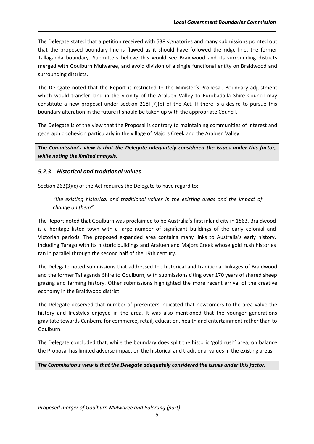The Delegate stated that a petition received with 538 signatories and many submissions pointed out that the proposed boundary line is flawed as it should have followed the ridge line, the former Tallaganda boundary. Submitters believe this would see Braidwood and its surrounding districts merged with Goulburn Mulwaree, and avoid division of a single functional entity on Braidwood and surrounding districts.

The Delegate noted that the Report is restricted to the Minister's Proposal. Boundary adjustment which would transfer land in the vicinity of the Araluen Valley to Eurobadalla Shire Council may constitute a new proposal under section 218F(7)(b) of the Act. If there is a desire to pursue this boundary alteration in the future it should be taken up with the appropriate Council.

The Delegate is of the view that the Proposal is contrary to maintaining communities of interest and geographic cohesion particularly in the village of Majors Creek and the Araluen Valley.

*The Commission's view is that the Delegate adequately considered the issues under this factor, while noting the limited analysis.*

# *5.2.3 Historical and traditional values*

Section 263(3)(c) of the Act requires the Delegate to have regard to:

*"the existing historical and traditional values in the existing areas and the impact of change on them".*

The Report noted that Goulburn was proclaimed to be Australia's first inland city in 1863. Braidwood is a heritage listed town with a large number of significant buildings of the early colonial and Victorian periods. The proposed expanded area contains many links to Australia's early history, including Tarago with its historic buildings and Araluen and Majors Creek whose gold rush histories ran in parallel through the second half of the 19th century.

The Delegate noted submissions that addressed the historical and traditional linkages of Braidwood and the former Tallaganda Shire to Goulburn, with submissions citing over 170 years of shared sheep grazing and farming history. Other submissions highlighted the more recent arrival of the creative economy in the Braidwood district.

The Delegate observed that number of presenters indicated that newcomers to the area value the history and lifestyles enjoyed in the area. It was also mentioned that the younger generations gravitate towards Canberra for commerce, retail, education, health and entertainment rather than to Goulburn.

The Delegate concluded that, while the boundary does split the historic 'gold rush' area, on balance the Proposal has limited adverse impact on the historical and traditional values in the existing areas.

### *The Commission's view is that the Delegate adequately considered the issues under this factor.*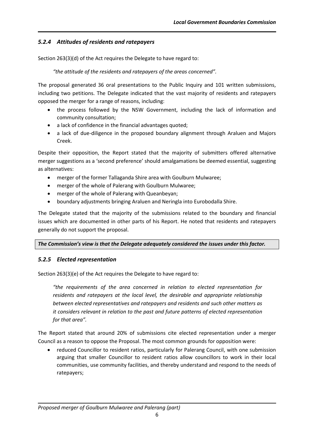## *5.2.4 Attitudes of residents and ratepayers*

Section 263(3)(d) of the Act requires the Delegate to have regard to:

*"the attitude of the residents and ratepayers of the areas concerned".*

The proposal generated 36 oral presentations to the Public Inquiry and 101 written submissions, including two petitions. The Delegate indicated that the vast majority of residents and ratepayers opposed the merger for a range of reasons, including:

- the process followed by the NSW Government, including the lack of information and community consultation;
- a lack of confidence in the financial advantages quoted;
- a lack of due-diligence in the proposed boundary alignment through Araluen and Majors Creek.

Despite their opposition, the Report stated that the majority of submitters offered alternative merger suggestions as a 'second preference' should amalgamations be deemed essential, suggesting as alternatives:

- merger of the former Tallaganda Shire area with Goulburn Mulwaree;
- merger of the whole of Palerang with Goulburn Mulwaree;
- merger of the whole of Palerang with Queanbeyan;
- boundary adjustments bringing Araluen and Neringla into Eurobodalla Shire.

The Delegate stated that the majority of the submissions related to the boundary and financial issues which are documented in other parts of his Report. He noted that residents and ratepayers generally do not support the proposal.

#### *The Commission's view is that the Delegate adequately considered the issues under this factor.*

#### *5.2.5 Elected representation*

Section 263(3)(e) of the Act requires the Delegate to have regard to:

*"the requirements of the area concerned in relation to elected representation for residents and ratepayers at the local level, the desirable and appropriate relationship between elected representatives and ratepayers and residents and such other matters as it considers relevant in relation to the past and future patterns of elected representation for that area".*

The Report stated that around 20% of submissions cite elected representation under a merger Council as a reason to oppose the Proposal. The most common grounds for opposition were:

 reduced Councillor to resident ratios, particularly for Palerang Council, with one submission arguing that smaller Councillor to resident ratios allow councillors to work in their local communities, use community facilities, and thereby understand and respond to the needs of ratepayers;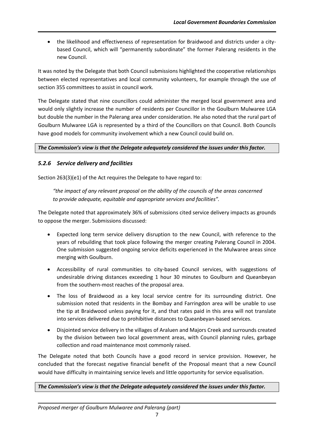the likelihood and effectiveness of representation for Braidwood and districts under a citybased Council, which will "permanently subordinate" the former Palerang residents in the new Council.

It was noted by the Delegate that both Council submissions highlighted the cooperative relationships between elected representatives and local community volunteers, for example through the use of section 355 committees to assist in council work.

The Delegate stated that nine councillors could administer the merged local government area and would only slightly increase the number of residents per Councillor in the Goulburn Mulwaree LGA but double the number in the Palerang area under consideration. He also noted that the rural part of Goulburn Mulwaree LGA is represented by a third of the Councillors on that Council. Both Councils have good models for community involvement which a new Council could build on.

#### *The Commission's view is that the Delegate adequately considered the issues under this factor.*

#### *5.2.6 Service delivery and facilities*

Section 263(3)(e1) of the Act requires the Delegate to have regard to:

*"the impact of any relevant proposal on the ability of the councils of the areas concerned to provide adequate, equitable and appropriate services and facilities".*

The Delegate noted that approximately 36% of submissions cited service delivery impacts as grounds to oppose the merger. Submissions discussed:

- Expected long term service delivery disruption to the new Council, with reference to the years of rebuilding that took place following the merger creating Palerang Council in 2004. One submission suggested ongoing service deficits experienced in the Mulwaree areas since merging with Goulburn.
- Accessibility of rural communities to city-based Council services, with suggestions of undesirable driving distances exceeding 1 hour 30 minutes to Goulburn and Queanbeyan from the southern-most reaches of the proposal area.
- The loss of Braidwood as a key local service centre for its surrounding district. One submission noted that residents in the Bombay and Farringdon area will be unable to use the tip at Braidwood unless paying for it, and that rates paid in this area will not translate into services delivered due to prohibitive distances to Queanbeyan-based services.
- Disjointed service delivery in the villages of Araluen and Majors Creek and surrounds created by the division between two local government areas, with Council planning rules, garbage collection and road maintenance most commonly raised.

The Delegate noted that both Councils have a good record in service provision. However, he concluded that the forecast negative financial benefit of the Proposal meant that a new Council would have difficulty in maintaining service levels and little opportunity for service equalisation.

*The Commission's view is that the Delegate adequately considered the issues under this factor.*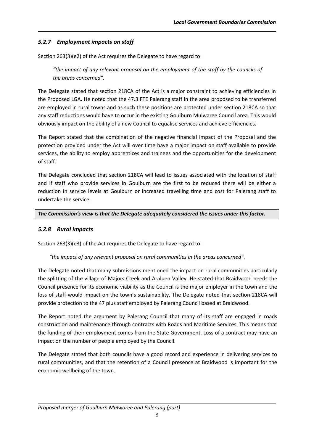# *5.2.7 Employment impacts on staff*

Section 263(3)(e2) of the Act requires the Delegate to have regard to:

"the impact of any relevant proposal on the employment of the staff by the councils of *the areas concerned".*

The Delegate stated that section 218CA of the Act is a major constraint to achieving efficiencies in the Proposed LGA. He noted that the 47.3 FTE Palerang staff in the area proposed to be transferred are employed in rural towns and as such these positions are protected under section 218CA so that any staff reductions would have to occur in the existing Goulburn Mulwaree Council area. This would obviously impact on the ability of a new Council to equalise services and achieve efficiencies.

The Report stated that the combination of the negative financial impact of the Proposal and the protection provided under the Act will over time have a major impact on staff available to provide services, the ability to employ apprentices and trainees and the opportunities for the development of staff.

The Delegate concluded that section 218CA will lead to issues associated with the location of staff and if staff who provide services in Goulburn are the first to be reduced there will be either a reduction in service levels at Goulburn or increased travelling time and cost for Palerang staff to undertake the service.

*The Commission's view is that the Delegate adequately considered the issues under this factor.* 

## *5.2.8 Rural impacts*

Section 263(3)(e3) of the Act requires the Delegate to have regard to:

### *"the impact of any relevant proposal on rural communities in the areas concerned".*

The Delegate noted that many submissions mentioned the impact on rural communities particularly the splitting of the village of Majors Creek and Araluen Valley. He stated that Braidwood needs the Council presence for its economic viability as the Council is the major employer in the town and the loss of staff would impact on the town's sustainability. The Delegate noted that section 218CA will provide protection to the 47 plus staff employed by Palerang Council based at Braidwood.

The Report noted the argument by Palerang Council that many of its staff are engaged in roads construction and maintenance through contracts with Roads and Maritime Services. This means that the funding of their employment comes from the State Government. Loss of a contract may have an impact on the number of people employed by the Council.

The Delegate stated that both councils have a good record and experience in delivering services to rural communities, and that the retention of a Council presence at Braidwood is important for the economic wellbeing of the town.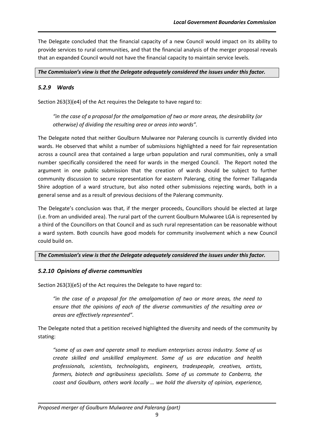The Delegate concluded that the financial capacity of a new Council would impact on its ability to provide services to rural communities, and that the financial analysis of the merger proposal reveals that an expanded Council would not have the financial capacity to maintain service levels.

#### *The Commission's view is that the Delegate adequately considered the issues under this factor.*

### *5.2.9 Wards*

Section 263(3)(e4) of the Act requires the Delegate to have regard to:

*"in the case of a proposal for the amalgamation of two or more areas, the desirability (or otherwise) of dividing the resulting area or areas into wards".*

The Delegate noted that neither Goulburn Mulwaree nor Palerang councils is currently divided into wards. He observed that whilst a number of submissions highlighted a need for fair representation across a council area that contained a large urban population and rural communities, only a small number specifically considered the need for wards in the merged Council. The Report noted the argument in one public submission that the creation of wards should be subject to further community discussion to secure representation for eastern Palerang, citing the former Tallaganda Shire adoption of a ward structure, but also noted other submissions rejecting wards, both in a general sense and as a result of previous decisions of the Palerang community.

The Delegate's conclusion was that, if the merger proceeds, Councillors should be elected at large (i.e. from an undivided area). The rural part of the current Goulburn Mulwaree LGA is represented by a third of the Councillors on that Council and as such rural representation can be reasonable without a ward system. Both councils have good models for community involvement which a new Council could build on.

### *The Commission's view is that the Delegate adequately considered the issues under this factor.*

### *5.2.10 Opinions of diverse communities*

Section 263(3)(e5) of the Act requires the Delegate to have regard to:

*"in the case of a proposal for the amalgamation of two or more areas, the need to ensure that the opinions of each of the diverse communities of the resulting area or areas are effectively represented".*

The Delegate noted that a petition received highlighted the diversity and needs of the community by stating:

*"some of us own and operate small to medium enterprises across industry. Some of us create skilled and unskilled employment. Some of us are education and health professionals, scientists, technologists, engineers, tradespeople, creatives, artists, farmers, biotech and agribusiness specialists. Some of us commute to Canberra, the coast and Goulburn, others work locally … we hold the diversity of opinion, experience,*